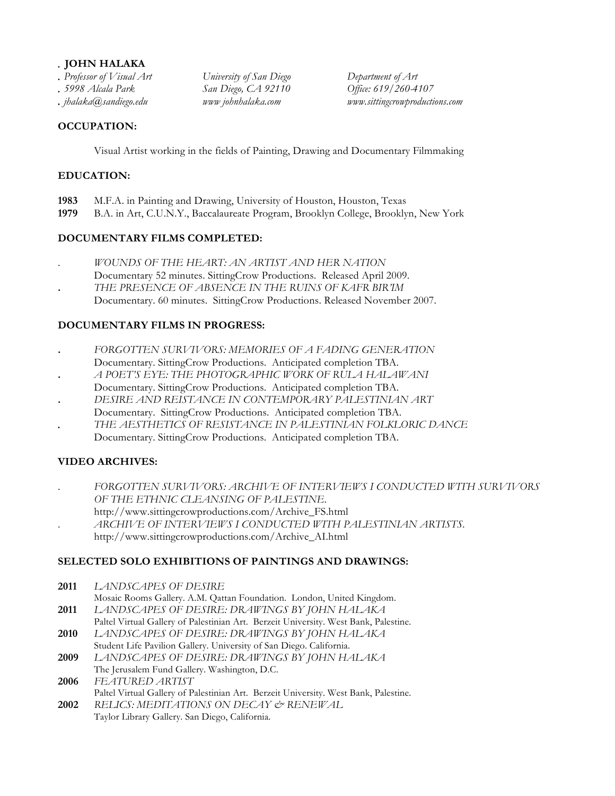### *.* **JOHN HALAKA**

- 
- 
- 

*. Professor of Visual Art University of San Diego Department of Art . 5998 Alcala Park San Diego, CA 92110 Office: 619/260-4107* 

*. jhalaka@sandiego.edu www johnhalaka.com www.sittingcrowproductions.com*

## **OCCUPATION:**

Visual Artist working in the fields of Painting, Drawing and Documentary Filmmaking

## **EDUCATION:**

- **1983** M.F.A. in Painting and Drawing, University of Houston, Houston, Texas
- **1979** B.A. in Art, C.U.N.Y., Baccalaureate Program, Brooklyn College, Brooklyn, New York

## **DOCUMENTARY FILMS COMPLETED:**

- . *WOUNDS OF THE HEART: AN ARTIST AND HER NATION*
- Documentary 52 minutes. SittingCrow Productions. Released April 2009.
- **.** *THE PRESENCE OF ABSENCE IN THE RUINS OF KAFR BIR'IM*
	- Documentary. 60 minutes. SittingCrow Productions. Released November 2007.

## **DOCUMENTARY FILMS IN PROGRESS:**

- **.** *FORGOTTEN SURVIVORS: MEMORIES OF A FADING GENERATION* Documentary. SittingCrow Productions. Anticipated completion TBA.
- **.** *A POET'S EYE: THE PHOTOGRAPHIC WORK OF RULA HALAWANI* Documentary. SittingCrow Productions. Anticipated completion TBA.
- **.** *DESIRE AND REISTANCE IN CONTEMPORARY PALESTINIAN ART* Documentary. SittingCrow Productions. Anticipated completion TBA.
- *. THE AESTHETICS OF RESISTANCE IN PALESTINIAN FOLKLORIC DANCE*
	- Documentary. SittingCrow Productions. Anticipated completion TBA.

# **VIDEO ARCHIVES:**

- . *FORGOTTEN SURVIVORS: ARCHIVE OF INTERVIEWS I CONDUCTED WITH SURVIVORS OF THE ETHNIC CLEANSING OF PALESTINE*. http://www.sittingcrowproductions.com/Archive\_FS.html
- . *ARCHIVE OF INTERVIEWS I CONDUCTED WITH PALESTINIAN ARTISTS.* http://www.sittingcrowproductions.com/Archive\_AI.html

# **SELECTED SOLO EXHIBITIONS OF PAINTINGS AND DRAWINGS:**

- **2011** *LANDSCAPES OF DESIRE*
- Mosaic Rooms Gallery. A.M. Qattan Foundation. London, United Kingdom. **2011** *LANDSCAPES OF DESIRE: DRAWINGS BY JOHN HALAKA*
- Paltel Virtual Gallery of Palestinian Art. Berzeit University. West Bank, Palestine.
- **2010** *LANDSCAPES OF DESIRE: DRAWINGS BY JOHN HALAKA* Student Life Pavilion Gallery. University of San Diego. California.
- **2009** *LANDSCAPES OF DESIRE: DRAWINGS BY JOHN HALAKA* The Jerusalem Fund Gallery. Washington, D.C.
- **2006** *FEATURED ARTIST* Paltel Virtual Gallery of Palestinian Art. Berzeit University. West Bank, Palestine.
- **2002** *RELICS: MEDITATIONS ON DECAY & RENEWAL* Taylor Library Gallery. San Diego, California.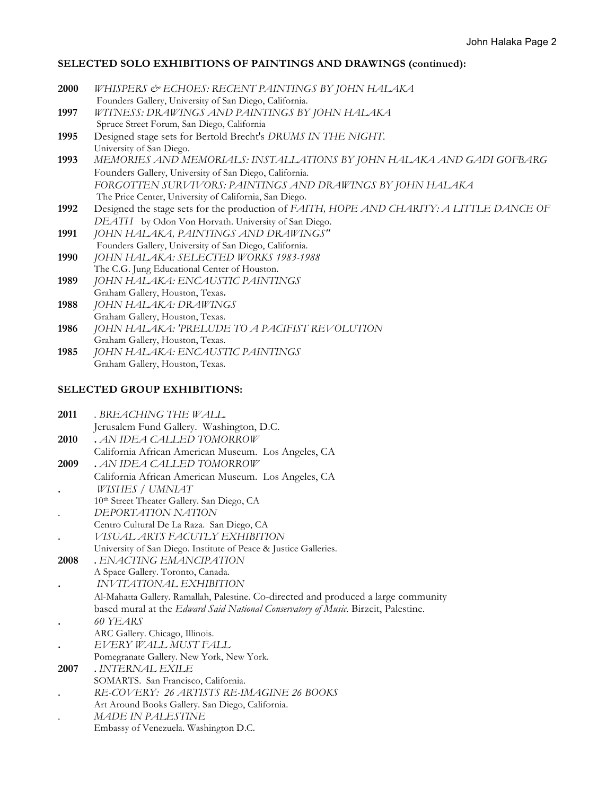## **SELECTED SOLO EXHIBITIONS OF PAINTINGS AND DRAWINGS (continued):**

| <b>2000</b> | WHISPERS & ECHOES: RECENT PAINTINGS BY JOHN HALAKA                                       |
|-------------|------------------------------------------------------------------------------------------|
|             | Founders Gallery, University of San Diego, California.                                   |
| 1997        | WITNESS: DRAWINGS AND PAINTINGS BY JOHN HALAKA                                           |
|             | Spruce Street Forum, San Diego, California                                               |
| 1995        | Designed stage sets for Bertold Brecht's DRUMS IN THE NIGHT.                             |
|             | University of San Diego.                                                                 |
| 1993        | MEMORIES AND MEMORIALS: INSTALLATIONS BY JOHN HALAKA AND GADI GOFBARG                    |
|             | Founders Gallery, University of San Diego, California.                                   |
|             | FORGOTTEN SURVIVORS: PAINTINGS AND DRAWINGS BY JOHN HALAKA                               |
|             | The Price Center, University of California, San Diego.                                   |
| 1992        | Designed the stage sets for the production of FAITH, HOPE AND CHARITY: A LITTLE DANCE OF |
|             | DEATH by Odon Von Horvath. University of San Diego.                                      |
| 1991        | JOHN HALAKA, PAINTINGS AND DRAWINGS"                                                     |
|             | Founders Gallery, University of San Diego, California.                                   |
| 1990        | JOHN HALAKA: SELECTED WORKS 1983-1988                                                    |
|             | The C.G. Jung Educational Center of Houston.                                             |
| 1989        | JOHN HALAKA: ENCAUSTIC PAINTINGS                                                         |
|             | Graham Gallery, Houston, Texas.                                                          |
| 1988        | JOHN HALAKA: DRAWINGS                                                                    |
|             | Graham Gallery, Houston, Texas.                                                          |
| 1986        | JOHN HALAKA: 'PRELUDE TO A PACIFIST REVOLUTION                                           |
|             | Graham Gallery, Houston, Texas.                                                          |
| 1985        | JOHN HALAKA: ENCAUSTIC PAINTINGS                                                         |
|             | Graham Gallery, Houston, Texas.                                                          |
|             |                                                                                          |

## **SELECTED GROUP EXHIBITIONS:**

| . BREACHING THE WALL.<br>2011 |  |
|-------------------------------|--|
|-------------------------------|--|

- Jerusalem Fund Gallery. Washington, D.C.
- **2010 .** *AN IDEA CALLED TOMORROW*
- California African American Museum. Los Angeles, CA
- **2009 .** *AN IDEA CALLED TOMORROW* California African American Museum. Los Angeles, CA **.** *WISHES / UMNIAT*
- 10th Street Theater Gallery. San Diego, CA
- . *DEPORTATION NATION*
- Centro Cultural De La Raza. San Diego, CA
- **.** *VISUAL ARTS FACUTLY EXHIBITION*
- University of San Diego. Institute of Peace & Justice Galleries.
- **2008 .** *ENACTING EMANCIPATION* A Space Gallery. Toronto, Canada.
- **.** *INVITATIONAL EXHIBITION*
- Al-Mahatta Gallery. Ramallah, Palestine. Co-directed and produced a large community based mural at the *Edward Said National Conservatory of Music*. Birzeit, Palestine.
- **.** *60 YEARS*
- ARC Gallery. Chicago, Illinois.
- **.** *EVERY WALL MUST FALL*
- Pomegranate Gallery. New York, New York.
- **2007 .** *INTERNAL EXILE* SOMARTS. San Francisco, California.
- **.** *RE-COVERY: 26 ARTISTS RE-IMAGINE 26 BOOKS*
- Art Around Books Gallery. San Diego, California.
- . *MADE IN PALESTINE*
	- Embassy of Venezuela. Washington D.C.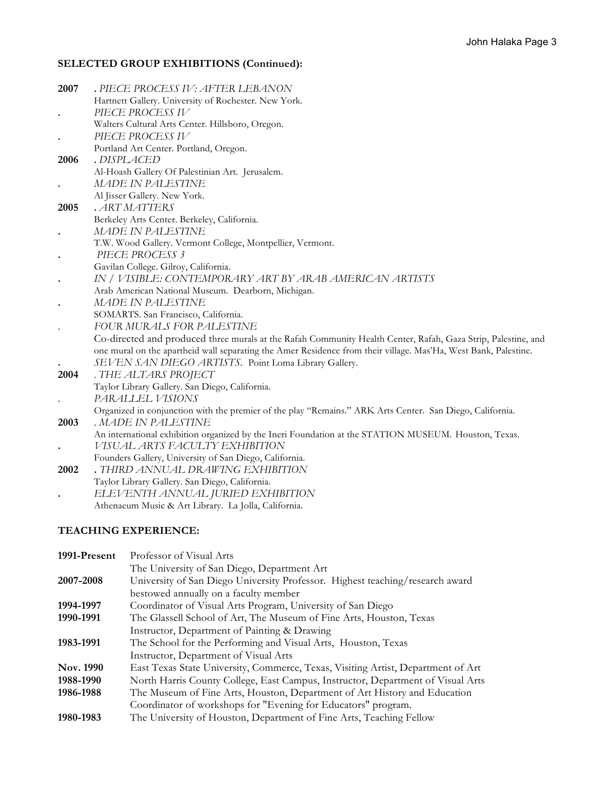# **SELECTED GROUP EXHIBITIONS (Continued):**

| 2007      | . PIECE PROCESS IV: AFTER LEBANON                                                                               |
|-----------|-----------------------------------------------------------------------------------------------------------------|
|           | Hartnett Gallery. University of Rochester. New York.                                                            |
|           | PIECE PROCESS IV                                                                                                |
|           | Walters Cultural Arts Center. Hillsboro, Oregon.                                                                |
|           | PIECE PROCESS IV                                                                                                |
|           | Portland Art Center. Portland, Oregon.                                                                          |
| 2006      | .DISPLACED                                                                                                      |
|           | Al-Hoash Gallery Of Palestinian Art. Jerusalem.                                                                 |
|           | <b>MADE IN PALESTINE</b>                                                                                        |
|           | Al Jisser Gallery. New York.                                                                                    |
| 2005      | . ART MATTERS                                                                                                   |
|           | Berkeley Arts Center. Berkeley, California.                                                                     |
| $\bullet$ | MADE IN PALESTINE                                                                                               |
|           | T.W. Wood Gallery. Vermont College, Montpellier, Vermont.                                                       |
| $\bullet$ | PIECE PROCESS 3                                                                                                 |
|           | Gavilan College. Gilroy, California.                                                                            |
| $\bullet$ | IN / VISIBLE: CONTEMPORARY ART BY ARAB AMERICAN ARTISTS                                                         |
|           | Arab American National Museum. Dearborn, Michigan.                                                              |
|           | MADE IN PALESTINE                                                                                               |
|           | SOMARTS. San Francisco, California.                                                                             |
|           | FOUR MURALS FOR PALESTINE                                                                                       |
|           | Co-directed and produced three murals at the Rafah Community Health Center, Rafah, Gaza Strip, Palestine, and   |
|           | one mural on the apartheid wall separating the Amer Residence from their village. Mas'Ha, West Bank, Palestine. |
|           | SEVEN SAN DIEGO ARTISTS. Point Loma Library Gallery.                                                            |
| 2004      | . THE ALTARS PROJECT<br>Taylor Library Gallery. San Diego, California.                                          |
|           | PARALLEL VISIONS                                                                                                |
|           | Organized in conjunction with the premier of the play "Remains." ARK Arts Center. San Diego, California.        |
| 2003      | . MADE IN PALESTINE                                                                                             |
|           | An international exhibition organized by the Ineri Foundation at the STATION MUSEUM. Houston, Texas.            |
|           | VISUAL ARTS FACULTY EXHIBITION                                                                                  |
|           | Founders Gallery, University of San Diego, California.                                                          |
| 2002      | . THIRD ANNUAL DRAWING EXHIBITION                                                                               |
|           | Taylor Library Gallery. San Diego, California.                                                                  |
|           | ELEVENTH ANNUAL JURIED EXHIBITION                                                                               |
|           | Athenaeum Music & Art Library. La Jolla, California.                                                            |
|           |                                                                                                                 |
|           | <b>TEACHING EXPERIENCE:</b>                                                                                     |

| 1991-Present | Professor of Visual Arts                                                         |
|--------------|----------------------------------------------------------------------------------|
|              | The University of San Diego, Department Art                                      |
| 2007-2008    | University of San Diego University Professor. Highest teaching/research award    |
|              | bestowed annually on a faculty member                                            |
| 1994-1997    | Coordinator of Visual Arts Program, University of San Diego                      |
| 1990-1991    | The Glassell School of Art, The Museum of Fine Arts, Houston, Texas              |
|              | Instructor, Department of Painting & Drawing                                     |
| 1983-1991    | The School for the Performing and Visual Arts, Houston, Texas                    |
|              | Instructor, Department of Visual Arts                                            |
| Nov. 1990    | East Texas State University, Commerce, Texas, Visiting Artist, Department of Art |
| 1988-1990    | North Harris County College, East Campus, Instructor, Department of Visual Arts  |
| 1986-1988    | The Museum of Fine Arts, Houston, Department of Art History and Education        |
|              | Coordinator of workshops for "Evening for Educators" program.                    |
| 1980-1983    | The University of Houston, Department of Fine Arts, Teaching Fellow              |
|              |                                                                                  |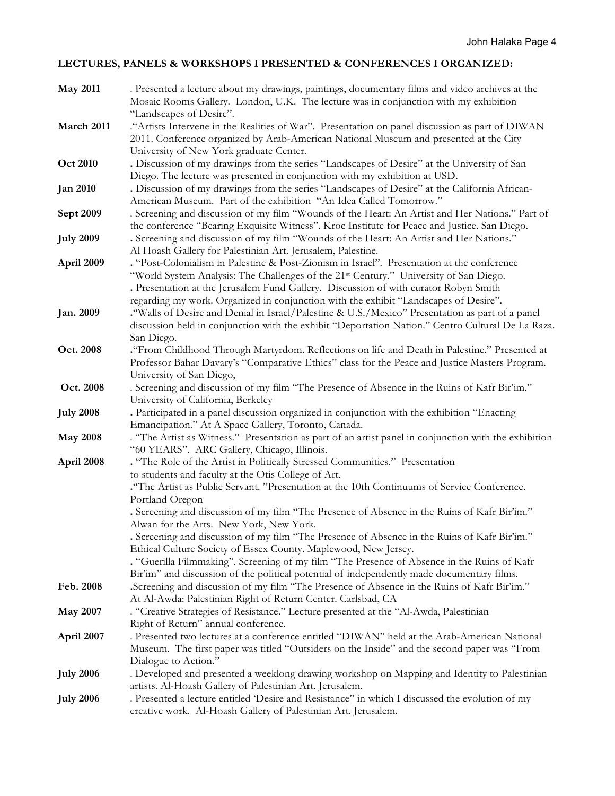# **LECTURES, PANELS & WORKSHOPS I PRESENTED & CONFERENCES I ORGANIZED:**

| <b>May 2011</b>  | . Presented a lecture about my drawings, paintings, documentary films and video archives at the<br>Mosaic Rooms Gallery. London, U.K. The lecture was in conjunction with my exhibition<br>"Landscapes of Desire".                                                                                                                                                                                                                                                                                                         |
|------------------|----------------------------------------------------------------------------------------------------------------------------------------------------------------------------------------------------------------------------------------------------------------------------------------------------------------------------------------------------------------------------------------------------------------------------------------------------------------------------------------------------------------------------|
| March 2011       | "Artists Intervene in the Realities of War". Presentation on panel discussion as part of DIWAN<br>2011. Conference organized by Arab-American National Museum and presented at the City                                                                                                                                                                                                                                                                                                                                    |
| <b>Oct 2010</b>  | University of New York graduate Center.<br>. Discussion of my drawings from the series "Landscapes of Desire" at the University of San<br>Diego. The lecture was presented in conjunction with my exhibition at USD.                                                                                                                                                                                                                                                                                                       |
| <b>Jan 2010</b>  | . Discussion of my drawings from the series "Landscapes of Desire" at the California African-<br>American Museum. Part of the exhibition "An Idea Called Tomorrow."                                                                                                                                                                                                                                                                                                                                                        |
| Sept 2009        | . Screening and discussion of my film "Wounds of the Heart: An Artist and Her Nations." Part of<br>the conference "Bearing Exquisite Witness". Kroc Institute for Peace and Justice. San Diego.                                                                                                                                                                                                                                                                                                                            |
| <b>July 2009</b> | . Screening and discussion of my film "Wounds of the Heart: An Artist and Her Nations."<br>Al Hoash Gallery for Palestinian Art. Jerusalem, Palestine.                                                                                                                                                                                                                                                                                                                                                                     |
| April 2009       | . "Post-Colonialism in Palestine & Post-Zionism in Israel". Presentation at the conference<br>"World System Analysis: The Challenges of the 21st Century." University of San Diego.<br>. Presentation at the Jerusalem Fund Gallery. Discussion of with curator Robyn Smith<br>regarding my work. Organized in conjunction with the exhibit "Landscapes of Desire".                                                                                                                                                        |
| Jan. 2009        | . "Walls of Desire and Denial in Israel/Palestine & U.S./Mexico" Presentation as part of a panel<br>discussion held in conjunction with the exhibit "Deportation Nation." Centro Cultural De La Raza.<br>San Diego.                                                                                                                                                                                                                                                                                                        |
| Oct. 2008        | "From Childhood Through Martyrdom. Reflections on life and Death in Palestine." Presented at<br>Professor Bahar Davary's "Comparative Ethics" class for the Peace and Justice Masters Program.<br>University of San Diego,                                                                                                                                                                                                                                                                                                 |
| Oct. 2008        | . Screening and discussion of my film "The Presence of Absence in the Ruins of Kafr Bir'im."<br>University of California, Berkeley                                                                                                                                                                                                                                                                                                                                                                                         |
| <b>July 2008</b> | . Participated in a panel discussion organized in conjunction with the exhibition "Enacting<br>Emancipation." At A Space Gallery, Toronto, Canada.                                                                                                                                                                                                                                                                                                                                                                         |
| <b>May 2008</b>  | . "The Artist as Witness." Presentation as part of an artist panel in conjunction with the exhibition<br>"60 YEARS". ARC Gallery, Chicago, Illinois.                                                                                                                                                                                                                                                                                                                                                                       |
| April 2008       | . "The Role of the Artist in Politically Stressed Communities." Presentation<br>to students and faculty at the Otis College of Art.<br>. The Artist as Public Servant. "Presentation at the 10th Continuums of Service Conference.                                                                                                                                                                                                                                                                                         |
|                  | Portland Oregon<br>. Screening and discussion of my film "The Presence of Absence in the Ruins of Kafr Bir'im."<br>Alwan for the Arts. New York, New York.<br>. Screening and discussion of my film "The Presence of Absence in the Ruins of Kafr Bir'im."<br>Ethical Culture Society of Essex County. Maplewood, New Jersey.<br>. "Guerilla Filmmaking". Screening of my film "The Presence of Absence in the Ruins of Kafr<br>Bir'im" and discussion of the political potential of independently made documentary films. |
| Feb. 2008        | Screening and discussion of my film "The Presence of Absence in the Ruins of Kafr Bir'im."<br>At Al-Awda: Palestinian Right of Return Center. Carlsbad, CA                                                                                                                                                                                                                                                                                                                                                                 |
| <b>May 2007</b>  | . "Creative Strategies of Resistance." Lecture presented at the "Al-Awda, Palestinian<br>Right of Return" annual conference.                                                                                                                                                                                                                                                                                                                                                                                               |
| April 2007       | . Presented two lectures at a conference entitled "DIWAN" held at the Arab-American National<br>Museum. The first paper was titled "Outsiders on the Inside" and the second paper was "From<br>Dialogue to Action."                                                                                                                                                                                                                                                                                                        |
| <b>July 2006</b> | . Developed and presented a weeklong drawing workshop on Mapping and Identity to Palestinian<br>artists. Al-Hoash Gallery of Palestinian Art. Jerusalem.                                                                                                                                                                                                                                                                                                                                                                   |
| <b>July 2006</b> | . Presented a lecture entitled 'Desire and Resistance" in which I discussed the evolution of my<br>creative work. Al-Hoash Gallery of Palestinian Art. Jerusalem.                                                                                                                                                                                                                                                                                                                                                          |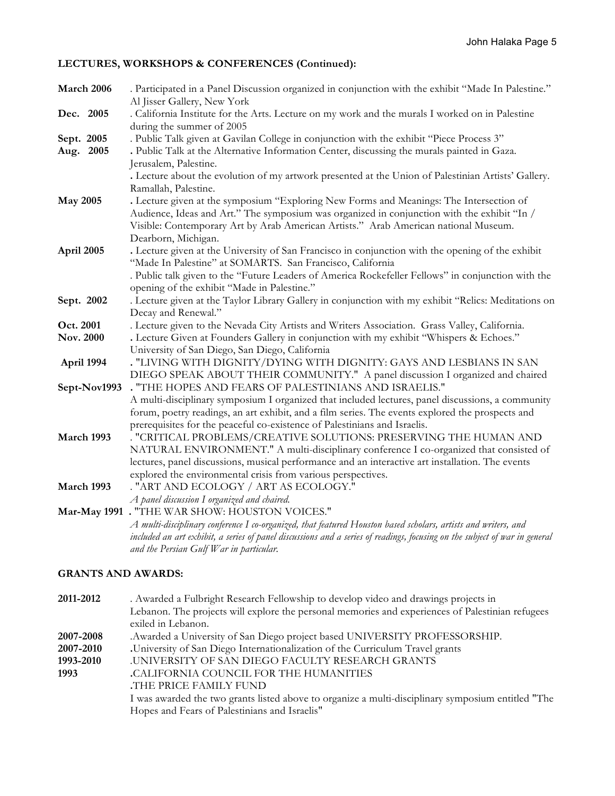# **LECTURES, WORKSHOPS & CONFERENCES (Continued):**

| March 2006              | . Participated in a Panel Discussion organized in conjunction with the exhibit "Made In Palestine."<br>Al Jisser Gallery, New York                                                                                                                                                                                                          |
|-------------------------|---------------------------------------------------------------------------------------------------------------------------------------------------------------------------------------------------------------------------------------------------------------------------------------------------------------------------------------------|
| Dec. 2005               | . California Institute for the Arts. Lecture on my work and the murals I worked on in Palestine<br>during the summer of 2005                                                                                                                                                                                                                |
| Sept. 2005<br>Aug. 2005 | . Public Talk given at Gavilan College in conjunction with the exhibit "Piece Process 3"<br>. Public Talk at the Alternative Information Center, discussing the murals painted in Gaza.<br>Jerusalem, Palestine.                                                                                                                            |
|                         | . Lecture about the evolution of my artwork presented at the Union of Palestinian Artists' Gallery.<br>Ramallah, Palestine.                                                                                                                                                                                                                 |
| <b>May 2005</b>         | . Lecture given at the symposium "Exploring New Forms and Meanings: The Intersection of<br>Audience, Ideas and Art." The symposium was organized in conjunction with the exhibit "In /<br>Visible: Contemporary Art by Arab American Artists." Arab American national Museum.                                                               |
| April 2005              | Dearborn, Michigan.<br>. Lecture given at the University of San Francisco in conjunction with the opening of the exhibit<br>"Made In Palestine" at SOMARTS. San Francisco, California<br>. Public talk given to the "Future Leaders of America Rockefeller Fellows" in conjunction with the                                                 |
| Sept. 2002              | opening of the exhibit "Made in Palestine."<br>. Lecture given at the Taylor Library Gallery in conjunction with my exhibit "Relics: Meditations on<br>Decay and Renewal."                                                                                                                                                                  |
| Oct. 2001<br>Nov. 2000  | . Lecture given to the Nevada City Artists and Writers Association. Grass Valley, California.<br>. Lecture Given at Founders Gallery in conjunction with my exhibit "Whispers & Echoes."<br>University of San Diego, San Diego, California                                                                                                  |
| April 1994              | . "LIVING WITH DIGNITY/DYING WITH DIGNITY: GAYS AND LESBIANS IN SAN<br>DIEGO SPEAK ABOUT THEIR COMMUNITY." A panel discussion I organized and chaired                                                                                                                                                                                       |
| Sept-Nov1993            | . "THE HOPES AND FEARS OF PALESTINIANS AND ISRAELIS."<br>A multi-disciplinary symposium I organized that included lectures, panel discussions, a community<br>forum, poetry readings, an art exhibit, and a film series. The events explored the prospects and<br>prerequisites for the peaceful co-existence of Palestinians and Israelis. |
| March 1993              | . "CRITICAL PROBLEMS/CREATIVE SOLUTIONS: PRESERVING THE HUMAN AND<br>NATURAL ENVIRONMENT." A multi-disciplinary conference I co-organized that consisted of<br>lectures, panel discussions, musical performance and an interactive art installation. The events<br>explored the environmental crisis from various perspectives.             |
| March 1993              | . "ART AND ECOLOGY / ART AS ECOLOGY."<br>A panel discussion I organized and chaired.                                                                                                                                                                                                                                                        |
|                         | Mar-May 1991 . "THE WAR SHOW: HOUSTON VOICES."<br>A multi-disciplinary conference I co-organized, that featured Houston based scholars, artists and writers, and<br>included an art exhibit, a series of panel discussions and a series of readings, focusing on the subject of war in general<br>and the Persian Gulf War in particular.   |

# **GRANTS AND AWARDS:**

| 2011-2012 | . Awarded a Fulbright Research Fellowship to develop video and drawings projects in                |
|-----------|----------------------------------------------------------------------------------------------------|
|           | Lebanon. The projects will explore the personal memories and experiences of Palestinian refugees   |
|           | exiled in Lebanon.                                                                                 |
| 2007-2008 | .Awarded a University of San Diego project based UNIVERSITY PROFESSORSHIP.                         |
| 2007-2010 | University of San Diego Internationalization of the Curriculum Travel grants                       |
| 1993-2010 | <b>.UNIVERSITY OF SAN DIEGO FACULTY RESEARCH GRANTS</b>                                            |
| 1993      | CALIFORNIA COUNCIL FOR THE HUMANITIES                                                              |
|           | THE PRICE FAMILY FUND.                                                                             |
|           | I was awarded the two grants listed above to organize a multi-disciplinary symposium entitled "The |
|           | Hopes and Fears of Palestinians and Israelis"                                                      |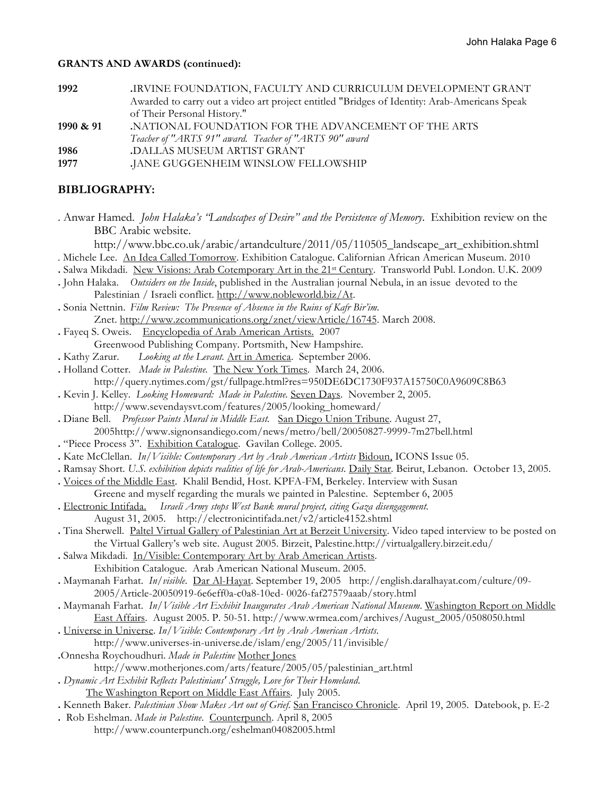#### **GRANTS AND AWARDS (continued):**

| Awarded to carry out a video art project entitled "Bridges of Identity: Arab-Americans Speak |
|----------------------------------------------------------------------------------------------|
|                                                                                              |
|                                                                                              |
|                                                                                              |
|                                                                                              |
|                                                                                              |
|                                                                                              |

# **BIBLIOGRAPHY:**

. Anwar Hamed. *John Halaka's "Landscapes of Desire" and the Persistence of Memory*. Exhibition review on the BBC Arabic website.

http://www.bbc.co.uk/arabic/artandculture/2011/05/110505\_landscape\_art\_exhibition.shtml . Michele Lee. An Idea Called Tomorrow. Exhibition Catalogue. Californian African American Museum. 2010

- **.** Salwa Mikdadi. New Visions: Arab Cotemporary Art in the 21st Century. Transworld Publ. London. U.K. 2009
- **.** John Halaka. *Outsiders on the Inside*, published in the Australian journal Nebula, in an issue devoted to the Palestinian / Israeli conflict. http://www.nobleworld.biz/At.
- **.** Sonia Nettnin. *Film Review: The Presence of Absence in the Ruins of Kafr Bir'im.* Znet. http://www.zcommunications.org/znet/viewArticle/16745. March 2008.
- **.** Fayeq S. Oweis. Encyclopedia of Arab American Artists. 2007
- Greenwood Publishing Company. Portsmith, New Hampshire.
- **.** Kathy Zarur. *Looking at the Levant.* Art in America. September 2006.
- **.** Holland Cotter. *Made in Palestine.* The New York Times. March 24, 2006.
	- http://query.nytimes.com/gst/fullpage.html?res=950DE6DC1730F937A15750C0A9609C8B63
- **.** Kevin J. Kelley. *Looking Homeward: Made in Palestine.* Seven Days. November 2, 2005. http://www.sevendaysvt.com/features/2005/looking\_homeward/
- **.** Diane Bell. *Professor Paints Mural in Middle East.* San Diego Union Tribune. August 27, 2005http://www.signonsandiego.com/news/metro/bell/20050827-9999-7m27bell.html
- **.** "Piece Process 3". Exhibition Catalogue. Gavilan College. 2005.
- **.** Kate McClellan. *In/Visible: Contemporary Art by Arab American Artists* Bidoun, ICONS Issue 05.
- **.** Ramsay Short. *U.S. exhibition depicts realities of life for Arab-Americans.* Daily Star. Beirut, Lebanon. October 13, 2005.
- **.** Voices of the Middle East. Khalil Bendid, Host. KPFA-FM, Berkeley. Interview with Susan Greene and myself regarding the murals we painted in Palestine. September 6, 2005
- **.** Electronic Intifada. *Israeli Army stops West Bank mural project, citing Gaza disengagement.* August 31, 2005. http://electronicintifada.net/v2/article4152.shtml
- **.** Tina Sherwell. Paltel Virtual Gallery of Palestinian Art at Berzeit University. Video taped interview to be posted on the Virtual Gallery's web site. August 2005. Birzeit, Palestine.http://virtualgallery.birzeit.edu/
- **.** Salwa Mikdadi. In/Visible: Contemporary Art by Arab American Artists. Exhibition Catalogue. Arab American National Museum. 2005.
- **.** Maymanah Farhat. *In/visible*. Dar Al-Hayat. September 19, 2005 http://english.daralhayat.com/culture/09- 2005/Article-20050919-6e6eff0a-c0a8-10ed- 0026-faf27579aaab/story.html
- **.** Maymanah Farhat. *In/Visible Art Exhibit Inaugurates Arab American National Museum*. Washington Report on Middle East Affairs. August 2005. P. 50-51. http://www.wrmea.com/archives/August\_2005/0508050.html
- **.** Universe in Universe. *In/Visible: Contemporary Art by Arab American Artists*. http://www.universes-in-universe.de/islam/eng/2005/11/invisible/
- **.**Onnesha Roychoudhuri. *Made in Palestine* Mother Jones
	- http://www.motherjones.com/arts/feature/2005/05/palestinian\_art.html
- **.** *Dynamic Art Exhibit Reflects Palestinians' Struggle, Love for Their Homeland*. The Washington Report on Middle East Affairs. July 2005.
- **.** Kenneth Baker. *Palestinian Show Makes Art out of Grief.* San Francisco Chronicle. April 19, 2005. Datebook, p. E-2
- **.** Rob Eshelman. *Made in Palestine*. Counterpunch. April 8, 2005 http://www.counterpunch.org/eshelman04082005.html